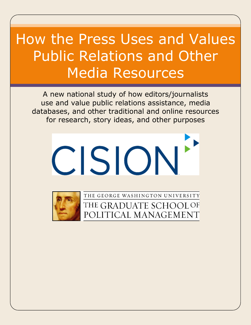# How the Press Uses and Values Public Relations and Other Media Resources

A new national study of how editors/journalists use and value public relations assistance, media databases, and other traditional and online resources for research, story ideas, and other purposes





THE GEORGE WASHINGTON UNIVERSITY THE GRADUATE SCHOOL OF POLITICAL MANAGEMENT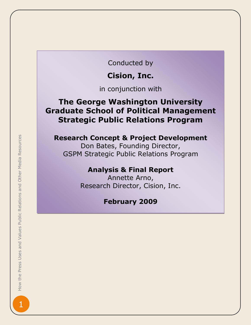Conducted by

# **Cision, Inc.**

in conjunction with

# **The George Washington University Graduate School of Political Management Strategic Public Relations Program**

#### **Research Concept & Project Development**

Don Bates, Founding Director, GSPM Strategic Public Relations Program

## **Analysis & Final Report**

Annette Arno, Research Director, Cision, Inc.

## **February 2009**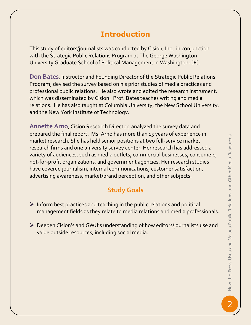# **Introduction**

This study of editors/journalists was conducted by Cision, Inc., in conjunction with the Strategic Public Relations Program at The George Washington University Graduate School of Political Management in Washington, DC.

**Don Bates**, Instructor and Founding Director of the Strategic Public Relations Program, devised the survey based on his prior studies of media practices and professional public relations. He also wrote and edited the research instrument, which was disseminated by Cision. Prof. Bates teaches writing and media relations. He has also taught at Columbia University, the New School University, and the New York Institute of Technology.

**Annette Arno**, Cision Research Director, analyzed the survey data and prepared the final report. Ms. Arno has more than 15 years of experience in market research. She has held senior positions at two full-service market research firms and one university survey center. Her research has addressed a variety of audiences, such as media outlets, commercial businesses, consumers, not-for-profit organizations, and government agencies. Her research studies have covered journalism, internal communications, customer satisfaction, advertising awareness, market/brand perception, and other subjects.

# **Study Goals**

- $\triangleright$  Inform best practices and teaching in the public relations and political management fields as they relate to media relations and media professionals.
- Deepen Cision's and GWU's understanding of how editors/journalists use and value outside resources, including social media.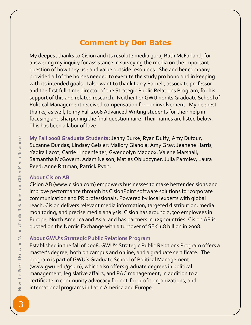## **Comment by Don Bates**

My deepest thanks to Cision and its resolute media guru, Ruth McFarland, for answering my inquiry for assistance in surveying the media on the important question of how they use and value outside resources. She and her company provided all of the horses needed to execute the study pro bono and in keeping with its intended goals. I also want to thank Larry Parnell, associate professor and the first full-time director of the Strategic Public Relations Program, for his support of this and related research. Neither I or GWU nor its Graduate School of Political Management received compensation for our involvement. My deepest thanks, as well, to my Fall 2008 Advanced Writing students for their help in focusing and sharpening the final questionnaire. Their names are listed below. This has been a labor of love.

**My Fall 2008 Graduate Students:** Jenny Burke; Ryan Duffy; Amy Dufour; Suzanne Dundas; Lindsey Geisler; Mallory Gianola; Amy Gray; Jeanene Harris; Yadira Lacot; Carrie Lingenfelter; Gwendolyn Maddox; Valene Marshall; Samantha McGovern; Adam Nelson; Matias Obludzyner; Julia Parmley; Laura Peed; Anne Rittman; Patrick Ryan.

#### **About Cision AB**

Cision AB [\(www.cision.com\)](http://www.cision.com/) empowers businesses to make better decisions and improve performance through its CisionPoint software solutions for corporate communication and PR professionals. Powered by local experts with global reach, Cision delivers relevant media information, targeted distribution, media monitoring, and precise media analysis. Cision has around 2,500 employees in Europe, North America and Asia, and has partners in 125 countries. Cision AB is quoted on the Nordic Exchange with a turnover of SEK 1.8 billion in 2008.

#### **About GWU's Strategic Public Relations Program**

Established in the fall of 2008, GWU's Strategic Public Relations Program offers a master's degree, both on campus and online, and a graduate certificate. The program is part of GWU's Graduate School of Political Management (www.gwu.edu/gspm), which also offers graduate degrees in political management, legislative affairs, and PAC management, in addition to a certificate in community advocacy for not-for-profit organizations, and international programs in Latin America and Europe.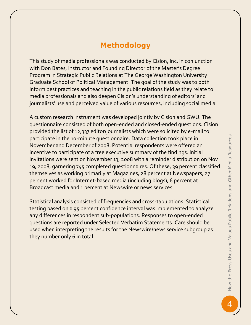# **Methodology**

This study of media professionals was conducted by Cision, Inc. in conjunction with Don Bates, Instructor and Founding Director of the Master's Degree Program in Strategic Public Relations at The George Washington University Graduate School of Political Management. The goal of the study was to both inform best practices and teaching in the public relations field as they relate to media professionals and also deepen Cision's understanding of editors' and journalists' use and perceived value of various resources, including social media.

A custom research instrument was developed jointly by Cision and GWU. The questionnaire consisted of both open-ended and closed-ended questions. Cision provided the list of 12,337 editor/journalists which were solicited by e-mail to participate in the 10-minute questionnaire. Data collection took place in November and December of 2008. Potential respondents were offered an incentive to participate of a free executive summary of the findings. Initial invitations were sent on November 13, 2008 with a reminder distribution on Nov 19, 2008, garnering 745 completed questionnaires. Of these, 39 percent classified themselves as working primarily at Magazines, 28 percent at Newspapers, 27 percent worked for Internet-based media (including blogs), 6 percent at Broadcast media and 1 percent at Newswire or news services.

Statistical analysis consisted of frequencies and cross-tabulations. Statistical testing based on a 95 percent confidence interval was implemented to analyze any differences in respondent sub-populations. Responses to open-ended questions are reported under Selected Verbatim Statements. Care should be used when interpreting the results for the Newswire/news service subgroup as they number only 6 in total.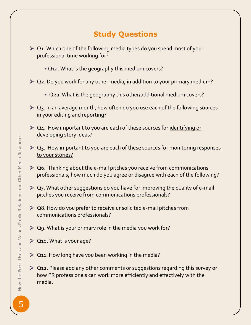# **Study Questions**

- $\geq 0$ 1. Which one of the following media types do you spend most of your professional time working for?
	- **•** Q1a. What is the geography this medium covers?
- $\geq 0$ 2. Do you work for any other media, in addition to your primary medium?
	- **•** Q2a. What is the geography this other/additional medium covers?
- Q3. In an average month, how often do you use each of the following sources in your editing and reporting?
- $\geq 0$ 4. How important to you are each of these sources for identifying or developing story ideas?
- $\triangleright$  Q5. How important to you are each of these sources for monitoring responses to your stories?
- $\triangleright$  Q6. Thinking about the e-mail pitches you receive from communications professionals, how much do you agree or disagree with each of the following?
- $\triangleright$  Q7. What other suggestions do you have for improving the quality of e-mail pitches you receive from communications professionals?
- ▶ Q8. How do you prefer to receive unsolicited e-mail pitches from communications professionals?
- $\geq$  Q9. What is your primary role in the media you work for?
- ▶ Q10. What is your age?
- $\geq$  Q11. How long have you been working in the media?
- ▶ Q12. Please add any other comments or suggestions regarding this survey or how PR professionals can work more efficiently and effectively with the media.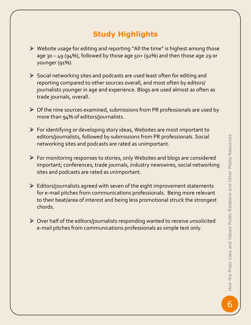# **Study Highlights**

- $\triangleright$  Website usage for editing and reporting "All the time" is highest among those age 30 – 49 (94%), followed by those age 50+ (92%) and then those age 29 or younger (91%).
- $\triangleright$  Social networking sites and podcasts are used least often for editing and reporting compared to other sources overall, and most often by editors/ journalists younger in age and experience. Blogs are used almost as often as trade journals, overall.
- $\triangleright$  Of the nine sources examined, submissions from PR professionals are used by more than 94% of editors/journalists.
- For identifying or developing story ideas, Websites are most important to editors/journalists, followed by submissions from PR professionals. Social networking sites and podcasts are rated as unimportant.
- For monitoring responses to stories, only Websites and blogs are considered important; conferences, trade journals, industry newswires, social networking sites and podcasts are rated as unimportant.
- $\triangleright$  Editors/journalists agreed with seven of the eight improvement statements for e-mail pitches from communications professionals. Being more relevant to their beat/area of interest and being less promotional struck the strongest chords.
- $\triangleright$  Over half of the editors/journalists responding wanted to receive unsolicited e-mail pitches from communications professionals as simple text only.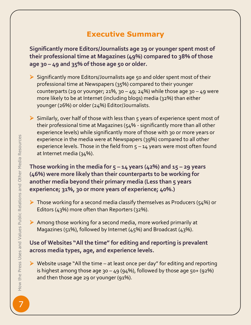# **Executive Summary**

**Significantly more Editors/Journalists age 29 or younger spent most of their professional time at Magazines (49%) compared to 38% of those age 30 – 49 and 35% of those age 50 or older.** 

- $\triangleright$  Significantly more Editors/Journalists age 50 and older spent most of their professional time at Newspapers (35%) compared to their younger counterparts (29 or younger; 21%, 30 – 49; 24%) while those age 30 – 49 were more likely to be at Internet (including blogs) media (32%) than either younger (26%) or older (24%) Editor/Journalists.
- $\triangleright$  Similarly, over half of those with less than 5 years of experience spent most of their professional time at Magazines (54% - significantly more than all other experience levels) while significantly more of those with 30 or more years or experience in the media were at Newspapers (39%) compared to all other experience levels. Those in the field from  $5 - 14$  years were most often found at Internet media (34%).

**Those working in the media for**  $5 - 14$  **years (42%) and**  $15 - 29$  **years (46%) were more likely than their counterparts to be working for another media beyond their primary media (Less than 5 years experience; 31%, 30 or more years of experience; 40%.)** 

- $\triangleright$  Those working for a second media classify themselves as Producers (54%) or Editors (43%) more often than Reporters (32%).
- $\triangleright$  Among those working for a second media, more worked primarily at Magazines (51%), followed by Internet (45%) and Broadcast (43%).

### **Use of Websites "All the time" for editing and reporting is prevalent across media types, age, and experience levels.**

 $\triangleright$  Website usage "All the time – at least once per day" for editing and reporting is highest among those age 30 – 49 (94%), followed by those age 50+ (92%) and then those age 29 or younger (91%).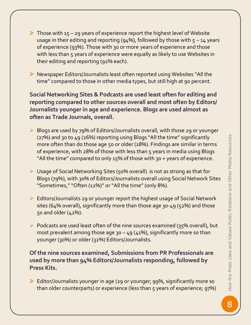- $\triangleright$  Those with 15 29 years of experience report the highest level of Website usage in their editing and reporting (94%), followed by those with  $5 - 14$  years of experience (93%). Those with 30 or more years of experience and those with less than 5 years of experience were equally as likely to use Websites in their editing and reporting (92% each).
- Newspaper Editors/Journalists least often reported using Websites "All the time" compared to those in other media types, but still high at 90 percent.

**Social Networking Sites & Podcasts are used least often for editing and reporting compared to other sources overall and most often by Editors/ Journalists younger in age and experience. Blogs are used almost as often as Trade Journals, overall.**

- ▶ Blogs are used by 79% of Editors/Journalists overall, with those 29 or younger (27%) and 30 to 49 (26%) reporting using Blogs "All the time" significantly more often than do those age 50 or older (18%). Findings are similar in terms of experience, with 28% of those with less than 5 years in media using Blogs "All the time" compared to only 15% of those with 30 + years of experience.
- Usage of Social Networking Sites (50% overall) is not as strong as that for Blogs (79%), with 30% of Editors/Journalists overall using Social Network Sites "Sometimes," "Often (12%)" or "All the time" (only 8%).
- Editors/Journalists 29 or younger report the highest usage of Social Network sites (64% overall), significantly more than those age 30-49 (52%) and those 50 and older (42%).
- $\triangleright$  Podcasts are used least often of the nine sources examined (35% overall), but most prevalent among those age  $30 - 49$  (41%), significantly more so than younger (30%) or older (32%) Editors/Journalists.

**Of the nine sources examined, Submissions from PR Professionals are used by more than 94% Editors/Journalists responding, followed by Press Kits.** 

 Editor/Journalists younger in age (29 or younger; 99%, significantly more so than older counterparts) or experience (less than 5 years of experience; 97%)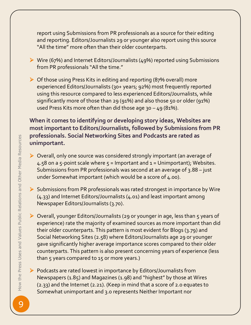report using Submissions from PR professionals as a source for their editing and reporting. Editors/Journalists 29 or younger also report using this source "All the time" more often than their older counterparts.

- ▶ Wire (67%) and Internet Editors/Journalists (49%) reported using Submissions from PR professionals "All the time."
- $\triangleright$  Of those using Press Kits in editing and reporting (87% overall) more experienced Editors/Journalists (30+ years; 92%) most frequently reported using this resource compared to less experienced Editors/Journalists, while significantly more of those than 29 (91%) and also those 50 or older (91%) used Press Kits more often than did those age 30 – 49 (81%).

#### **When it comes to identifying or developing story ideas, Websites are most important to Editors/Journalists, followed by Submissions from PR professionals. Social Networking Sites and Podcasts are rated as unimportant.**

- Overall, only one source was considered strongly important (an average of 4.58 on a 5-point scale where  $5 =$  Important and  $1 =$  Unimportant); Websites. Submissions from PR professionals was second at an average of 3.88 – just under Somewhat important (which would be a score of 4.00).
- Submissions from PR professionals was rated strongest in importance by Wire (4.33) and Internet Editors/Journalists (4.01) and least important among Newspaper Editors/Journalists (3.70).
- Overall, younger Editors/Journalists (29 or younger in age, less than 5 years of experience) rate the majority of examined sources as more important than did their older counterparts. This pattern is most evident for Blogs (3.79) and Social Networking Sites (2.58) where Editors/Journalists age 29 or younger gave significantly higher average importance scores compared to their older counterparts. This pattern is also present concerning years of experience (less than 5 years compared to 15 or more years.)
- $\triangleright$  Podcasts are rated lowest in importance by Editors/Journalists from Newspapers (1.85) and Magazines (1.98) and "highest" by those at Wires (2.33) and the Internet (2.21). (Keep in mind that a score of 2.0 equates to Somewhat unimportant and 3.0 represents Neither Important nor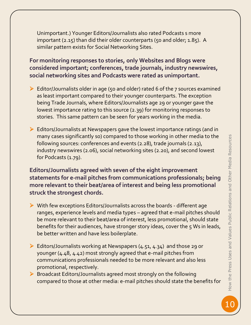Unimportant.) Younger Editors/Journalists also rated Podcasts s more important (2.15) than did their older counterparts (50 and older; 1.85). A similar pattern exists for Social Networking Sites.

**For monitoring responses to stories, only Websites and Blogs were considered important; conferences, trade journals, industry newswires, social networking sites and Podcasts were rated as unimportant.** 

- ▶ Editor/Journalists older in age (50 and older) rated 6 of the 7 sources examined as least important compared to their younger counterparts. The exception being Trade Journals, where Editors/Journalists age 29 or younger gave the lowest importance rating to this source (2.39) for monitoring responses to stories. This same pattern can be seen for years working in the media.
- Editors/Journalists at Newspapers gave the lowest importance ratings (and in many cases significantly so) compared to those working in other media to the following sources: conferences and events (2.28), trade journals (2.13), industry newswires (2.06), social networking sites (2.20), and second lowest for Podcasts (1.79).

**Editors/Journalists agreed with seven of the eight improvement statements for e-mail pitches from communications professionals; being more relevant to their beat/area of interest and being less promotional struck the strongest chords.** 

- With few exceptions Editors/Journalists across the boards different age ranges, experience levels and media types – agreed that e-mail pitches should be more relevant to their beat/area of interest, less promotional, should state benefits for their audiences, have stronger story ideas, cover the 5 Ws in leads, be better written and have less boilerplate.
- $\triangleright$  Editors/Journalists working at Newspapers (4.51, 4.34) and those 29 or younger (4.48, 4.42) most strongly agreed that e-mail pitches from communications professionals needed to be more relevant and also less promotional, respectively.
- Broadcast Editors/Journalists agreed most strongly on the following compared to those at other media: e-mail pitches should state the benefits for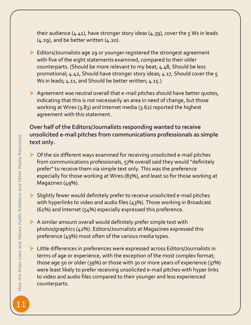their audience (4.41), have stronger story ideas (4.39), cover the 5 Ws in leads (4.29), and be better written (4.20).

- $\triangleright$  Editors/Journalists age 29 or younger registered the strongest agreement with five of the eight statements examined, compared to their older counterparts. (Should be more relevant to my beat; 4.48, Should be less promotional; 4.42, Should have stronger story ideas; 4.17, Should cover the 5 Ws in leads; 4.11, and Should be better written; 4.15.)
- $\triangleright$  Agreement was neutral overall that e-mail pitches should have better quotes, indicating that this is not necessarily an area in need of change, but those working at Wires (3.83) and Internet media (3.62) reported the highest agreement with this statement.

#### **Over half of the Editors/Journalists responding wanted to receive unsolicited e-mail pitches from communications professionals as simple text only.**

- $\triangleright$  Of the six different ways examined for receiving unsolicited e-mail pitches from communications professionals, 57% overall said they would "definitely prefer" to receive them via simple text only. This was the preference especially for those working at Wires (83%), and least so for those working at Magazines (49%).
- $\triangleright$  Slightly fewer would definitely prefer to receive unsolicited e-mail pitches with hyperlinks to video and audio files (43%). Those working in Broadcast (62%) and Internet (54%) especially expressed this preference.
- $\triangleright$  A similar amount overall would definitely prefer simple text with photos/graphics (42%). Editors/Journalists at Magazines expressed this preference (49%) most often of the various media types.
- Little differences in preferences were expressed across Editors/Journalists in terms of age or experience, with the exception of the most complex format; those age 50 or older (39%) or those with 30 or more years of experience (37%) were least likely to prefer receiving unsolicited e-mail pitches with hyper links to video and audio files compared to their younger and less experienced counterparts.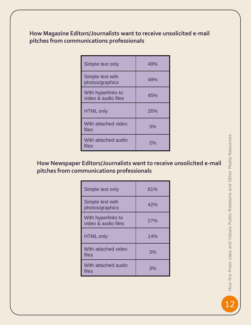#### **How Magazine Editors/Journalists want to receive unsolicited e-mail pitches from communications professionals**

| Simple text only                          | 49% |
|-------------------------------------------|-----|
| Simple text with<br>photos/graphics       | 49% |
| With hyperlinks to<br>video & audio files | 45% |
| <b>HTML</b> only                          | 26% |
| With attached video<br>files              | 3%  |
| With attached audio<br>files              | 2%  |

## **How Newspaper Editors/Journalists want to receive unsolicited e-mail pitches from communications professionals**

| Simple text only                          | 61% |
|-------------------------------------------|-----|
| Simple text with<br>photos/graphics       | 42% |
| With hyperlinks to<br>video & audio files | 27% |
| <b>HTML</b> only                          | 14% |
| With attached video<br>files              | 3%  |
| With attached audio<br>files              | 3%  |

How the Press Uses and Values Public Relations and Other Media Resources <sup>12</sup>How the Press Uses and Values Public Relations and Other Media Resources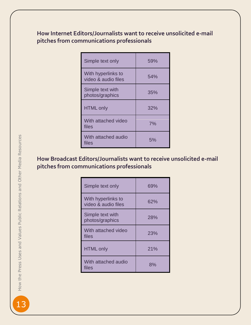#### **How Internet Editors/Journalists want to receive unsolicited e-mail pitches from communications professionals**

| Simple text only                          | 59% |
|-------------------------------------------|-----|
| With hyperlinks to<br>video & audio files | 54% |
| Simple text with<br>photos/graphics       | 35% |
| <b>HTML only</b>                          | 32% |
| With attached video<br>files              | 7%  |
| With attached audio<br>files              | 5%  |

## **How Broadcast Editors/Journalists want to receive unsolicited e-mail pitches from communications professionals**

| Simple text only                          | 69% |
|-------------------------------------------|-----|
| With hyperlinks to<br>video & audio files | 62% |
| Simple text with<br>photos/graphics       | 28% |
| With attached video<br>files              | 23% |
| <b>HTML only</b>                          | 21% |
| With attached audio<br>files              | 8%  |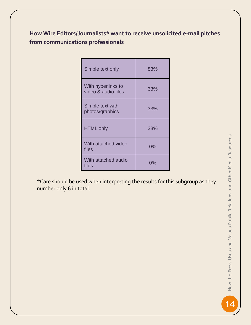## **How Wire Editors/Journalists\* want to receive unsolicited e-mail pitches from communications professionals**

| Simple text only                          | 83%   |
|-------------------------------------------|-------|
| With hyperlinks to<br>video & audio files | 33%   |
| Simple text with<br>photos/graphics       | 33%   |
| <b>HTML only</b>                          | 33%   |
| With attached video<br>files              | 0%    |
| With attached audio<br>files              | $0\%$ |

\*Care should be used when interpreting the results for this subgroup as they number only 6 in total.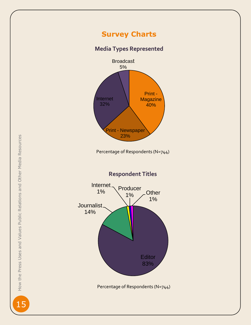## **Survey Charts**

#### **Media Types Represented**



Percentage of Respondents (N=744)

**Respondent Title s**



 $1<sup>5</sup>$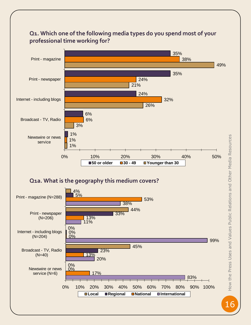

# **Q1. Which one of the following media types do you spend most of your**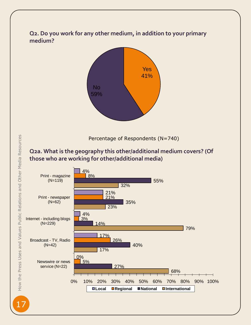#### **Q2. Do you work for any other medium, in addition to your primary medium?**



Percentage of Respondents (N=740)

#### **Q2a. What is the geography this other/additional medium covers? (Of those who are working for other/additional media)**

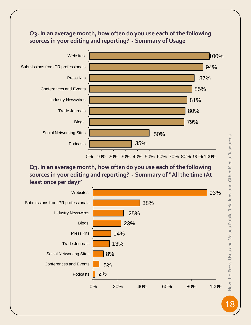#### **Q3. In an average month, how often do you use each of the following sources in your editing and reporting? ~ Summary of Usage**



**Q3. In an average month, how often do you use each of the following sources in your editing and reporting? ~ Summary of "All the time (At least once per day)"**

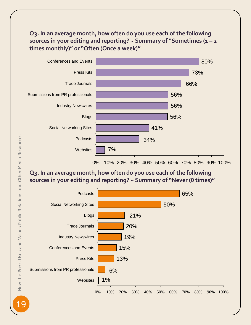#### **Q3. In an average month, how often do you use each of the following sources in your editing and reporting? ~ Summary of "Sometimes (1 – 2 times monthly)" or "Often (Once a week)"**



## **Q3. In an average month, how often do you use each of the following sources in your editing and reporting? ~ Summary of "Never (0 times)"**

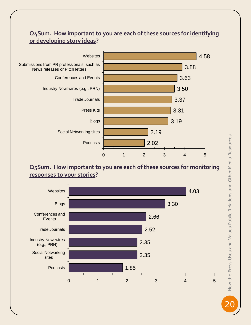#### **Q4Sum. How important to you are each of these sources for identifying or developing story ideas?**



#### **Q5Sum. How important to you are each of these sources for monitoring responses to your stories?**



How the Press Uses and Values Public Relations and Other Media Resources **20How the Press Uses and Values Public Relations and Other Media Resources**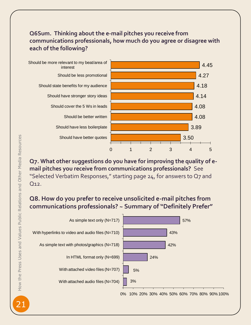## **Q6Sum. Thinking about the e-mail pitches you receive from communications professionals, how much do you agree or disagree with each of the following?**



#### **Q7. What other suggestions do you have for improving the quality of email pitches you receive from communications professionals?** See "Selected Verbatim Responses," starting page 24, for answers to Q7 and Q12.

## **Q8. How do you prefer to receive unsolicited e-mail pitches from communications professionals? ~ Summary of "Definitely Prefer"**

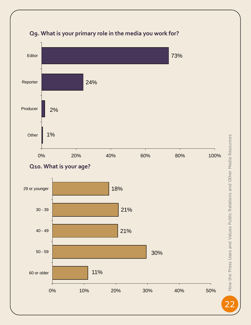

## **Q9. What is your primary role in the media you work for?**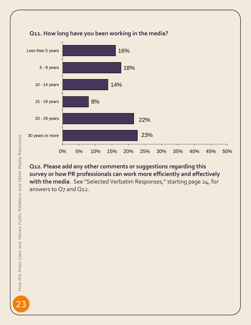

## **Q11. How long have you been working in the media?**

**Q12. Please add any other comments or suggestions regarding this survey or how PR professionals can work more efficiently and effectively with the media**. See "Selected Verbatim Responses," starting page 24, for answers to Q7 and Q12.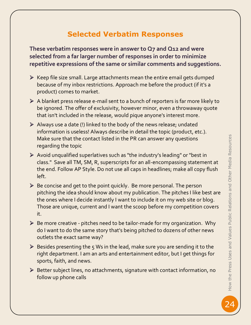# **Selected Verbatim Responses**

**These verbatim responses were in answer to Q7 and Q12 and were selected from a far larger number of responses in order to minimize repetitive expressions of the same or similar comments and suggestions.** 

- $\triangleright$  Keep file size small. Large attachments mean the entire email gets dumped because of my inbox restrictions. Approach me before the product (if it's a product) comes to market.
- $\triangleright$  A blanket press release e-mail sent to a bunch of reporters is far more likely to be ignored. The offer of exclusivity, however minor, even a throwaway quote that isn't included in the release, would pique anyone's interest more.
- $\triangleright$  Always use a date (!) linked to the body of the news release; undated information is useless! Always describe in detail the topic (product, etc.). Make sure that the contact listed in the PR can answer any questions regarding the topic
- Avoid unqualified superlatives such as "the industry's leading" or "best in class." Save all TM, SM, R, superscripts for an all-encompassing statement at the end. Follow AP Style. Do not use all caps in headlines; make all copy flush left.
- $\triangleright$  Be concise and get to the point quickly. Be more personal. The person pitching the idea should know about my publication. The pitches I like best are the ones where I decide instantly I want to include it on my web site or blog. Those are unique, current and I want the scoop before my competition covers it.
- $\triangleright$  Be more creative pitches need to be tailor-made for my organization. Why do I want to do the same story that's being pitched to dozens of other news outlets the exact same way?
- $\triangleright$  Besides presenting the 5 Ws in the lead, make sure you are sending it to the right department. I am an arts and entertainment editor, but I get things for sports, faith, and news.
- Better subject lines, no attachments, signature with contact information, no follow up phone calls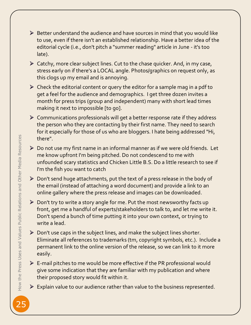- $\triangleright$  Better understand the audience and have sources in mind that you would like to use, even if there isn't an established relationship. Have a better idea of the editorial cycle (i.e., don't pitch a "summer reading" article in June - it's too late).
- $\triangleright$  Catchy, more clear subject lines. Cut to the chase quicker. And, in my case, stress early on if there's a LOCAL angle. Photos/graphics on request only, as this clogs up my email and is annoying.
- $\triangleright$  Check the editorial content or query the editor for a sample mag in a pdf to get a feel for the audience and demographics. I get three dozen invites a month for press trips (group and independent) many with short lead times making it next to impossible [to go].
- $\triangleright$  Communications professionals will get a better response rate if they address the person who they are contacting by their first name. They need to search for it especially for those of us who are bloggers. I hate being addressed "Hi, there".
- Do not use my first name in an informal manner as if we were old friends. Let me know upfront I'm being pitched. Do not condescend to me with unfounded scary statistics and Chicken Little B.S. Do a little research to see if I'm the fish you want to catch
- Don't send huge attachments, put the text of a press release in the body of the email (instead of attaching a word document) and provide a link to an online gallery where the press release and images can be downloaded.
- $\triangleright$  Don't try to write a story angle for me. Put the most newsworthy facts up front, get me a handful of experts/stakeholders to talk to, and let me write it. Don't spend a bunch of time putting it into your own context, or trying to write a lead.
- $\triangleright$  Don't use caps in the subject lines, and make the subject lines shorter. Eliminate all references to trademarks (tm, copyright symbols, etc.). Include a permanent link to the online version of the release, so we can link to it more easily.
- $\triangleright$  E-mail pitches to me would be more effective if the PR professional would give some indication that they are familiar with my publication and where their proposed story would fit within it.
- $\triangleright$  Explain value to our audience rather than value to the business represented.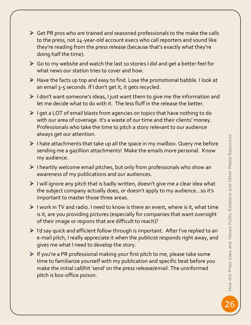- $\triangleright$  Get PR pros who are trained and seasoned professionals to the make the calls to the press, not 24-year-old account execs who call reporters and sound like they're reading from the press release (because that's exactly what they're doing half the time).
- $\triangleright$  Go to my website and watch the last 10 stories I did and get a better feel for what news our station tries to cover and how.
- $\triangleright$  Have the facts up top and easy to find. Lose the promotional babble. I look at an email 3-5 seconds. If I don't get it, it gets recycled.
- $\triangleright$  I don't want someone's ideas, I just want them to give me the information and let me decide what to do with it. The less fluff in the release the better.
- $\triangleright$  I get a LOT of email blasts from agencies on topics that have nothing to do with our area of coverage. It's a waste of our time and their clients' money. Professionals who take the time to pitch a story relevant to our audience always get our attention.
- $\triangleright$  I hate attachments that take up all the space in my mailbox. Query me before sending me a gazillion attachments! Make the emails more personal. Know my audience.
- $\triangleright$  I heartily welcome email pitches, but only from professionals who show an awareness of my publications and our audiences.
- $\triangleright$  I will ignore any pitch that is badly written, doesn't give me a clear idea what the subject company actually does, or doesn't apply to my audience...so it's important to master those three areas.
- $\triangleright$  I work in TV and radio. I need to know is there an event, where is it, what time is it, are you providing pictures (especially for companies that want oversight of their image or regions that are difficult to reach)?
- $\triangleright$  I'd say quick and efficient follow through is important. After I've replied to an e-mail pitch, I really appreciate it when the publicist responds right away, and gives me what I need to develop the story.
- $\triangleright$  If you're a PR professional making your first pitch to me, please take some time to familiarize yourself with my publication and specific beat before you make the initial call/hit 'send' on the press release/email. The uninformed pitch is box-office poison.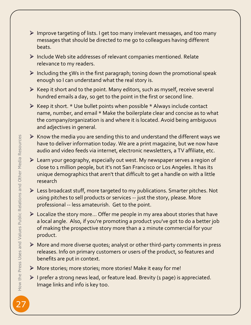- Improve targeting of lists. I get too many irrelevant messages, and too many messages that should be directed to me go to colleagues having different beats.
- $\triangleright$  Include Web site addresses of relevant companies mentioned. Relate relevance to my readers.
- $\triangleright$  Including the 5Ws in the first paragraph; toning down the promotional speak enough so I can understand what the real story is.
- $\triangleright$  Keep it short and to the point. Many editors, such as myself, receive several hundred emails a day, so get to the point in the first or second line.
- $\triangleright$  Keep it short. \* Use bullet points when possible \* Always include contact name, number, and email \* Make the boilerplate clear and concise as to what the company/organization is and where it is located. Avoid being ambiguous and adjectives in general.
- $\triangleright$  Know the media you are sending this to and understand the different ways we have to deliver information today. We are a print magazine, but we now have audio and video feeds via internet, electronic newsletters, a TV affiliate, etc.
- Learn your geography, especially out west. My newspaper serves a region of close to 1 million people, but it's not San Francisco or Los Angeles. It has its unique demographics that aren't that difficult to get a handle on with a little research
- Less broadcast stuff, more targeted to my publications. Smarter pitches. Not using pitches to sell products or services -- just the story, please. More professional -- less amateurish. Get to the point.
- $\triangleright$  Localize the story more... Offer me people in my area about stories that have a local angle. Also, if you're promoting a product you've got to do a better job of making the prospective story more than a 2 minute commercial for your product.
- $\triangleright$  More and more diverse quotes; analyst or other third-party comments in press releases. Info on primary customers or users of the product, so features and benefits are put in context.
- More stories; more stories; more stories! Make it easy for me!
- $\triangleright$  I prefer a strong news lead, or feature lead. Brevity (1 page) is appreciated. Image links and info is key too.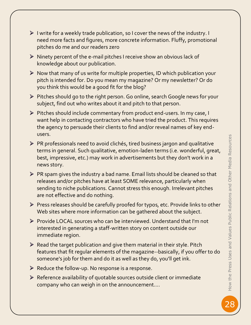- $\triangleright$  I write for a weekly trade publication, so I cover the news of the industry. I need more facts and figures, more concrete information. Fluffy, promotional pitches do me and our readers zero
- $\triangleright$  Ninety percent of the e-mail pitches I receive show an obvious lack of knowledge about our publication.
- $\triangleright$  Now that many of us write for multiple properties, ID which publication your pitch is intended for. Do you mean my magazine? Or my newsletter? Or do you think this would be a good fit for the blog?
- Pitches should go to the right person. Go online, search Google news for your subject, find out who writes about it and pitch to that person.
- Pitches should include commentary from product end-users. In my case, I want help in contacting contractors who have tried the product. This requires the agency to persuade their clients to find and/or reveal names of key endusers.
- $\triangleright$  PR professionals need to avoid clichés, tired business jargon and qualitative terms in general. Such qualitative, emotion-laden terms (i.e. wonderful, great, best, impressive, etc.) may work in advertisements but they don't work in a news story.
- $\triangleright$  PR spam gives the industry a bad name. Email lists should be cleaned so that releases and/or pitches have at least SOME relevance, particularly when sending to niche publications. Cannot stress this enough. Irrelevant pitches are not effective and do nothing.
- Press releases should be carefully proofed for typos, etc. Provide links to other Web sites where more information can be gathered about the subject.
- Provide LOCAL sources who can be interviewed. Understand that I'm not interested in generating a staff-written story on content outside our immediate region.
- $\triangleright$  Read the target publication and give them material in their style. Pitch features that fit regular elements of the magazine--basically, if you offer to do someone's job for them and do it as well as they do, you'll get ink.
- $\triangleright$  Reduce the follow-up. No response is a response.
- $\triangleright$  Reference availability of quotable sources outside client or immediate company who can weigh in on the announcement….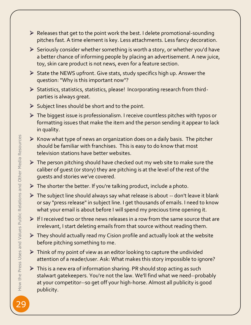- $\triangleright$  Releases that get to the point work the best. I delete promotional-sounding pitches fast. A time element is key. Less attachments. Less fancy decoration.
- $\triangleright$  Seriously consider whether something is worth a story, or whether you'd have a better chance of informing people by placing an advertisement. A new juice, toy, skin care product is not news, even for a feature section.
- State the NEWS upfront. Give stats, study specifics high up. Answer the question: "Why is this important now"?
- Statistics, statistics, statistics, please! Incorporating research from thirdparties is always great.
- $\triangleright$  Subject lines should be short and to the point.
- The biggest issue is professionalism. I receive countless pitches with typos or formatting issues that make the item and the person sending it appear to lack in quality.
- $\triangleright$  Know what type of news an organization does on a daily basis. The pitcher should be familiar with franchises. This is easy to do know that most television stations have better websites.
- $\triangleright$  The person pitching should have checked out my web site to make sure the caliber of guest (or story) they are pitching is at the level of the rest of the guests and stories we've covered.
- $\triangleright$  The shorter the better. If you're talking product, include a photo.
- $\triangleright$  The subject line should always say what release is about -- don't leave it blank or say "press release" in subject line. I get thousands of emails. I need to know what your email is about before I will spend my precious time opening it.
- $\triangleright$  If I received two or three news releases in a row from the same source that are irrelevant, I start deleting emails from that source without reading them.
- $\triangleright$  They should actually read my Cision profile and actually look at the website before pitching something to me.
- $\triangleright$  Think of my point of view as an editor looking to capture the undivided attention of a reader/user. Ask: What makes this story impossible to ignore?
- $\triangleright$  This is a new era of information sharing. PR should stop acting as such stalwart gatekeepers. You're not the law. We'll find what we need--probably at your competitor--so get off your high-horse. Almost all publicity is good publicity.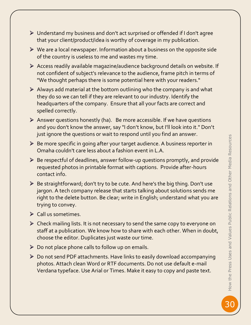30 How the Press Uses and Values Public Relations and Other Media Resources How the Press Uses and Values Public Relations and Other Media Resources

- Understand my business and don't act surprised or offended if I don't agree that your client/product/idea is worthy of coverage in my publication.
- $\triangleright$  We are a local newspaper. Information about a business on the opposite side of the country is useless to me and wastes my time.
- Access readily available magazine/audience background details on website. If not confident of subject's relevance to the audience, frame pitch in terms of "We thought perhaps there is some potential here with your readers."
- $\triangleright$  Always add material at the bottom outlining who the company is and what they do so we can tell if they are relevant to our industry. Identify the headquarters of the company. Ensure that all your facts are correct and spelled correctly.
- $\triangleright$  Answer questions honestly (ha). Be more accessible. If we have questions and you don't know the answer, say "I don't know, but I'll look into it." Don't just ignore the questions or wait to respond until you find an answer.
- Be more specific in going after your target audience. A business reporter in Omaha couldn't care less about a fashion event in L.A.
- Be respectful of deadlines, answer follow-up questions promptly, and provide requested photos in printable format with captions. Provide after-hours contact info.
- $\triangleright$  Be straightforward; don't try to be cute. And here's the big thing. Don't use jargon. A tech company release that starts talking about solutions sends me right to the delete button. Be clear; write in English; understand what you are trying to convey.
- $\triangleright$  Call us sometimes.
- $\triangleright$  Check mailing lists. It is not necessary to send the same copy to everyone on staff at a publication. We know how to share with each other. When in doubt, choose the editor. Duplicates just waste our time.
- $\triangleright$  Do not place phone calls to follow up on emails.
- Do not send PDF attachments. Have links to easily download accompanying photos. Attach clean Word or RTF documents. Do not use default e-mail Verdana typeface. Use Arial or Times. Make it easy to copy and paste text.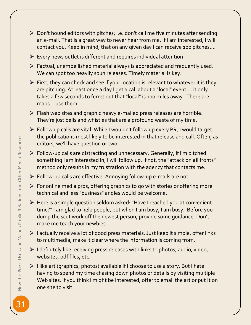- Don't hound editors with pitches; i.e. don't call me five minutes after sending an e-mail. That is a great way to never hear from me. If I am interested, I will contact you. Keep in mind, that on any given day I can receive 100 pitches....
- $\triangleright$  Every news outlet is different and requires individual attention.
- Factual, unembellished material always is appreciated and frequently used. We can spot too heavily spun releases. Timely material is key.
- $\triangleright$  First, they can check and see if your location is relevant to whatever it is they are pitching. At least once a day I get a call about a "local" event ... it only takes a few seconds to ferret out that "local" is 100 miles away. There are maps ...use them.
- Flash web sites and graphic heavy e-mailed press releases are horrible. They're just bells and whistles that are a profound waste of my time.
- Follow up calls are vital. While I wouldn't follow up every PR, I would target the publications most likely to be interested in that release and call. Often, as editors, we'll have question or two.
- Follow-up calls are distracting and unnecessary. Generally, if I'm pitched something I am interested in, I will follow up. If not, the "attack on all fronts" method only results in my frustration with the agency that contacts me.
- Follow-up calls are effective. Annoying follow-up e-mails are not.
- For online media pros, offering graphics to go with stories or offering more technical and less "business" angles would be welcome.
- Here is a simple question seldom asked: "Have I reached you at convenient time?" I am glad to help people, but when I am busy, I am busy. Before you dump the scut work off the newest person, provide some guidance. Don't make me teach your newbies.
- $\triangleright$  I actually receive a lot of good press materials. Just keep it simple, offer links to multimedia, make it clear where the information is coming from.
- $\triangleright$  I definitely like receiving press releases with links to photos, audio, video, websites, pdf files, etc.
- ▶ I like art (graphics, photos) available if I choose to use a story. But I hate having to spend my time chasing down photos or details by visiting multiple Web sites. If you think I might be interested, offer to email the art or put it on one site to visit.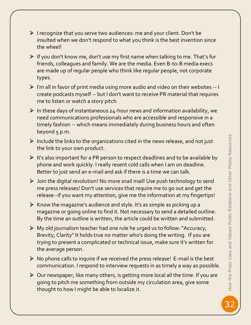- $\triangleright$  I recognize that you serve two audiences: me and your client. Don't be insulted when we don't respond to what you think is the best invention since the wheel!
- $\triangleright$  If you don't know me, don't use my first name when talking to me. That's for friends, colleagues and family. We are the media. Even B-to-B media execs are made up of regular people who think like regular people, not corporate types.
- $\triangleright$  I'm all in favor of print media using more audio and video on their websites  $-1$ create podcasts myself -- but I don't want to receive PR material that requires me to listen or watch a story pitch
- $\triangleright$  In these days of instantaneous 24-hour news and information availability, we need communications professionals who are accessible and responsive in a timely fashion -- which means immediately during business hours and often beyond 5 p.m.
- $\triangleright$  Include the links to the organizations cited in the news release, and not just the link to your own product.
- $\triangleright$  It's also important for a PR person to respect deadlines and to be available by phone and work quickly. I really resent cold calls when I am on deadline. Better to just send an e-mail and ask if there is a time we can talk.
- Join the digital revolution! No more snail mail! Use push technology to send me press releases! Don't use services that require me to go out and get the release--if you want my attention, give me the information at my fingertips!
- $\triangleright$  Know the magazine's audience and style. It's as simple as picking up a magazine or going online to find it. Not necessary to send a detailed outline. By the time an outline is written, the article could be written and submitted.
- $\triangleright$  My old journalism teacher had one rule he urged us to follow: "Accuracy, Brevity, Clarity" It holds true no matter who's doing the writing. If you are trying to present a complicated or technical issue, make sure it's written for the average person.
- $\triangleright$  No phone calls to inquire if we received the press release! E-mail is the best communication. I respond to interview requests in as timely a way as possible.
- $\triangleright$  Our newspaper, like many others, is getting more local all the time. If you are going to pitch me something from outside my circulation area, give some thought to how I might be able to localize it.